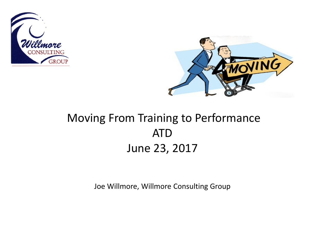



### Moving From Training to Performance ATD June 23, 2017

Joe Willmore, Willmore Consulting Group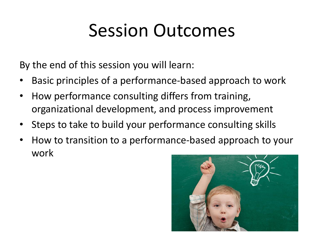### Session Outcomes

By the end of this session you will learn:

- Basic principles of a performance-based approach to work
- How performance consulting differs from training, organizational development, and process improvement
- Steps to take to build your performance consulting skills
- How to transition to a performance-based approach to your work

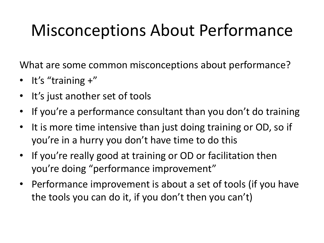### Misconceptions About Performance

What are some common misconceptions about performance?

- It's "training +"
- It's just another set of tools
- If you're a performance consultant than you don't do training
- It is more time intensive than just doing training or OD, so if you're in a hurry you don't have time to do this
- If you're really good at training or OD or facilitation then you're doing "performance improvement"
- Performance improvement is about a set of tools (if you have the tools you can do it, if you don't then you can't)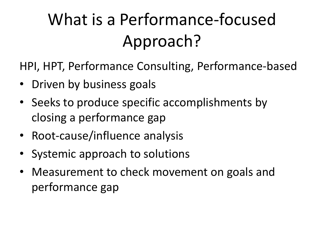### What is a Performance-focused Approach?

HPI, HPT, Performance Consulting, Performance-based

- Driven by business goals
- Seeks to produce specific accomplishments by closing a performance gap
- Root-cause/influence analysis
- Systemic approach to solutions
- Measurement to check movement on goals and performance gap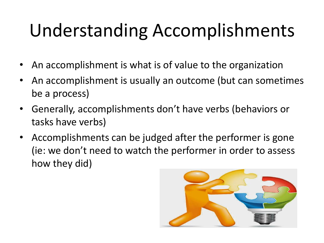## Understanding Accomplishments

- An accomplishment is what is of value to the organization
- An accomplishment is usually an outcome (but can sometimes be a process)
- Generally, accomplishments don't have verbs (behaviors or tasks have verbs)
- Accomplishments can be judged after the performer is gone (ie: we don't need to watch the performer in order to assess how they did)

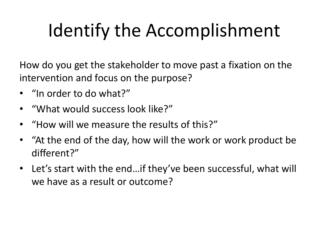## Identify the Accomplishment

How do you get the stakeholder to move past a fixation on the intervention and focus on the purpose?

- "In order to do what?"
- "What would success look like?"
- "How will we measure the results of this?"
- "At the end of the day, how will the work or work product be different?"
- Let's start with the end…if they've been successful, what will we have as a result or outcome?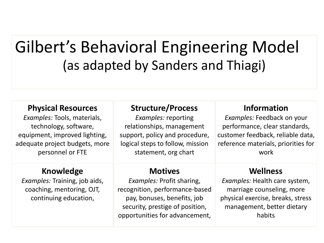### Gilbert's Behavioral Engineering Model (as adapted by Sanders and Thiagi)

#### **Physical Resources**

*Examples:* Tools, materials, technology, software, equipment, improved lighting, adequate project budgets, more personnel or FTE

#### **Knowledge**

*Examples:* Training, job aids, coaching, mentoring, OJT, continuing education,

#### **Structure/Process**

*Examples:* reporting relationships, management support, policy and procedure, logical steps to follow, mission statement, org chart

#### **Motives**

*Examples:* Profit sharing, recognition, performance-based pay, bonuses, benefits, job security, prestige of position, opportunities for advancement,

#### **Information**

*Examples:* Feedback on your performance, clear standards, customer feedback, reliable data, reference materials, priorities for work

#### **Wellness**

*Examples:* Health care system, marriage counseling, more physical exercise, breaks, stress management, better dietary habits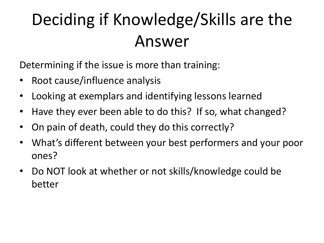### Deciding if Knowledge/Skills are the Answer

Determining if the issue is more than training:

- Root cause/influence analysis
- Looking at exemplars and identifying lessons learned
- Have they ever been able to do this? If so, what changed?
- On pain of death, could they do this correctly?
- What's different between your best performers and your poor ones?
- Do NOT look at whether or not skills/knowledge could be better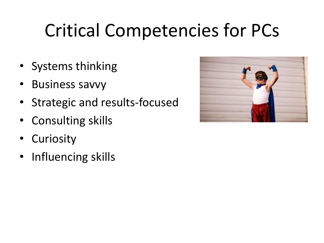## Critical Competencies for PCs

- Systems thinking
- Business savvy
- Strategic and results-focused
- Consulting skills
- Curiosity
- Influencing skills

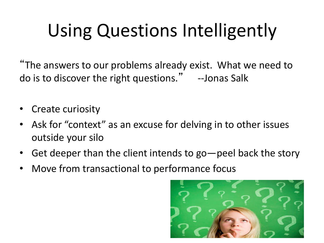# Using Questions Intelligently

"The answers to our problems already exist. What we need to do is to discover the right questions." --Jonas Salk

- **Create curiosity**
- Ask for "context" as an excuse for delving in to other issues outside your silo
- Get deeper than the client intends to go—peel back the story
- Move from transactional to performance focus

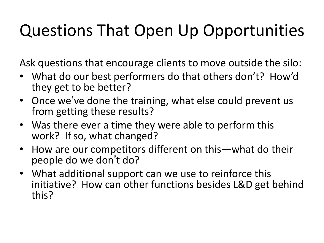### Questions That Open Up Opportunities

Ask questions that encourage clients to move outside the silo:

- What do our best performers do that others don't? How'd they get to be better?
- Once we've done the training, what else could prevent us from getting these results?
- Was there ever a time they were able to perform this work? If so, what changed?
- How are our competitors different on this—what do their people do we don't do?
- What additional support can we use to reinforce this initiative? How can other functions besides L&D get behind this?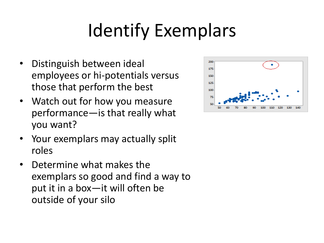## Identify Exemplars

- Distinguish between ideal employees or hi-potentials versus those that perform the best
- Watch out for how you measure performance—is that really what you want?
- Your exemplars may actually split roles
- Determine what makes the exemplars so good and find a way to put it in a box—it will often be outside of your silo

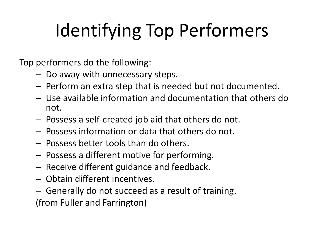# Identifying Top Performers

Top performers do the following:

- Do away with unnecessary steps.
- Perform an extra step that is needed but not documented.
- Use available information and documentation that others do not.
- Possess a self-created job aid that others do not.
- Possess information or data that others do not.
- Possess better tools than do others.
- Possess a different motive for performing.
- Receive different guidance and feedback.
- Obtain different incentives.
- Generally do not succeed as a result of training. (from Fuller and Farrington)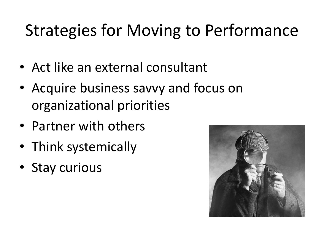### Strategies for Moving to Performance

- Act like an external consultant
- Acquire business savvy and focus on organizational priorities
- Partner with others
- Think systemically
- Stay curious

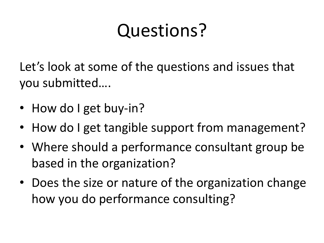### Questions?

Let's look at some of the questions and issues that you submitted….

- How do I get buy-in?
- How do I get tangible support from management?
- Where should a performance consultant group be based in the organization?
- Does the size or nature of the organization change how you do performance consulting?